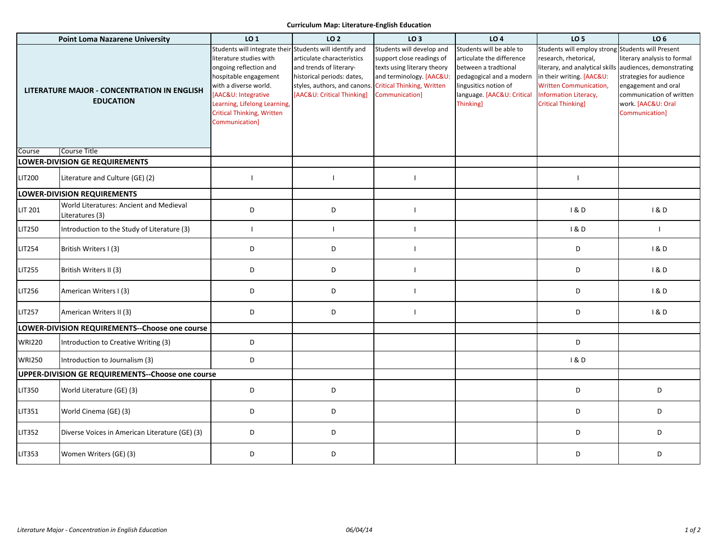## **Curriculum Map: Literature-English Education**

| <b>Point Loma Nazarene University</b>                           |                                                            | LO 1                                                                                                                                                                                                                                                                          | LO <sub>2</sub>                                                                                                                                   | LO <sub>3</sub>                                                                                                                                                          | <b>LO4</b>                                                                                                                                                                          | <b>LO 5</b>                                                                                                                                                                                                                      | LO 6                                                                                                                                                                          |
|-----------------------------------------------------------------|------------------------------------------------------------|-------------------------------------------------------------------------------------------------------------------------------------------------------------------------------------------------------------------------------------------------------------------------------|---------------------------------------------------------------------------------------------------------------------------------------------------|--------------------------------------------------------------------------------------------------------------------------------------------------------------------------|-------------------------------------------------------------------------------------------------------------------------------------------------------------------------------------|----------------------------------------------------------------------------------------------------------------------------------------------------------------------------------------------------------------------------------|-------------------------------------------------------------------------------------------------------------------------------------------------------------------------------|
| LITERATURE MAJOR - CONCENTRATION IN ENGLISH<br><b>EDUCATION</b> |                                                            | Students will integrate their Students will identify and<br>literature studies with<br>ongoing reflection and<br>hospitable engagement<br>with a diverse world.<br>[AAC&U: Integrative<br>Learning, Lifelong Learning,<br><b>Critical Thinking, Written</b><br>Communication] | articulate characteristics<br>and trends of literary-<br>historical periods: dates,<br>styles, authors, and canons.<br>[AAC&U: Critical Thinking] | Students will develop and<br>support close readings of<br>texts using literary theory<br>and terminology. [AAC&U:<br><b>Critical Thinking, Written</b><br>Communication] | Students will be able to<br>articulate the difference<br>between a tradtional<br>pedagogical and a modern<br>lingusitics notion of<br>language. [AAC&U: Critical<br><b>Thinking</b> | Students will employ strong Students will Present<br>research, rhetorical,<br>literary, and analytical skill<br>in their writing. [AAC&U:<br><b>Written Communication,</b><br>Information Literacy,<br><b>Critical Thinking]</b> | literary analysis to formal<br>audiences, demonstrating<br>strategies for audience<br>engagement and oral<br>communication of written<br>work. [AAC&U: Oral<br>Communication] |
| Course                                                          | Course Title                                               |                                                                                                                                                                                                                                                                               |                                                                                                                                                   |                                                                                                                                                                          |                                                                                                                                                                                     |                                                                                                                                                                                                                                  |                                                                                                                                                                               |
| <b>LOWER-DIVISION GE REQUIREMENTS</b>                           |                                                            |                                                                                                                                                                                                                                                                               |                                                                                                                                                   |                                                                                                                                                                          |                                                                                                                                                                                     |                                                                                                                                                                                                                                  |                                                                                                                                                                               |
| <b>LIT200</b>                                                   | Literature and Culture (GE) (2)                            |                                                                                                                                                                                                                                                                               |                                                                                                                                                   | $\overline{\phantom{a}}$                                                                                                                                                 |                                                                                                                                                                                     | $\blacksquare$                                                                                                                                                                                                                   |                                                                                                                                                                               |
|                                                                 | <b>LOWER-DIVISION REQUIREMENTS</b>                         |                                                                                                                                                                                                                                                                               |                                                                                                                                                   |                                                                                                                                                                          |                                                                                                                                                                                     |                                                                                                                                                                                                                                  |                                                                                                                                                                               |
| <b>LIT 201</b>                                                  | World Literatures: Ancient and Medieval<br>Literatures (3) | D                                                                                                                                                                                                                                                                             | D                                                                                                                                                 | $\overline{\phantom{a}}$                                                                                                                                                 |                                                                                                                                                                                     | 18D                                                                                                                                                                                                                              | 1&0                                                                                                                                                                           |
| LIT250                                                          | Introduction to the Study of Literature (3)                |                                                                                                                                                                                                                                                                               | $\blacksquare$                                                                                                                                    | $\mathbf{I}$                                                                                                                                                             |                                                                                                                                                                                     | 1&D                                                                                                                                                                                                                              | $\mathbf{I}$                                                                                                                                                                  |
| <b>LIT254</b>                                                   | British Writers I (3)                                      | D                                                                                                                                                                                                                                                                             | D                                                                                                                                                 | $\mathbf{I}$                                                                                                                                                             |                                                                                                                                                                                     | D                                                                                                                                                                                                                                | 1&0                                                                                                                                                                           |
| <b>LIT255</b>                                                   | British Writers II (3)                                     | D                                                                                                                                                                                                                                                                             | D                                                                                                                                                 | $\mathbf{I}$                                                                                                                                                             |                                                                                                                                                                                     | D                                                                                                                                                                                                                                | 1&0                                                                                                                                                                           |
| <b>LIT256</b>                                                   | American Writers I (3)                                     | D                                                                                                                                                                                                                                                                             | D                                                                                                                                                 | $\overline{1}$                                                                                                                                                           |                                                                                                                                                                                     | D                                                                                                                                                                                                                                | 1&0                                                                                                                                                                           |
| <b>LIT257</b>                                                   | American Writers II (3)                                    | D                                                                                                                                                                                                                                                                             | D                                                                                                                                                 | $\mathbf{I}$                                                                                                                                                             |                                                                                                                                                                                     | D                                                                                                                                                                                                                                | 1&0                                                                                                                                                                           |
|                                                                 | LOWER-DIVISION REQUIREMENTS--Choose one course             |                                                                                                                                                                                                                                                                               |                                                                                                                                                   |                                                                                                                                                                          |                                                                                                                                                                                     |                                                                                                                                                                                                                                  |                                                                                                                                                                               |
| <b>WRI220</b>                                                   | Introduction to Creative Writing (3)                       | D                                                                                                                                                                                                                                                                             |                                                                                                                                                   |                                                                                                                                                                          |                                                                                                                                                                                     | D                                                                                                                                                                                                                                |                                                                                                                                                                               |
| <b>WRI250</b>                                                   | Introduction to Journalism (3)                             | D                                                                                                                                                                                                                                                                             |                                                                                                                                                   |                                                                                                                                                                          |                                                                                                                                                                                     | 180                                                                                                                                                                                                                              |                                                                                                                                                                               |
| UPPER-DIVISION GE REQUIREMENTS--Choose one course               |                                                            |                                                                                                                                                                                                                                                                               |                                                                                                                                                   |                                                                                                                                                                          |                                                                                                                                                                                     |                                                                                                                                                                                                                                  |                                                                                                                                                                               |
| <b>LIT350</b>                                                   | World Literature (GE) (3)                                  | D                                                                                                                                                                                                                                                                             | D                                                                                                                                                 |                                                                                                                                                                          |                                                                                                                                                                                     | D                                                                                                                                                                                                                                | D                                                                                                                                                                             |
| LIT351                                                          | World Cinema (GE) (3)                                      | D                                                                                                                                                                                                                                                                             | D                                                                                                                                                 |                                                                                                                                                                          |                                                                                                                                                                                     | D                                                                                                                                                                                                                                | D                                                                                                                                                                             |
| LIT352                                                          | Diverse Voices in American Literature (GE) (3)             | D                                                                                                                                                                                                                                                                             | D                                                                                                                                                 |                                                                                                                                                                          |                                                                                                                                                                                     | D                                                                                                                                                                                                                                | D                                                                                                                                                                             |
| <b>LIT353</b>                                                   | Women Writers (GE) (3)                                     | D                                                                                                                                                                                                                                                                             | D                                                                                                                                                 |                                                                                                                                                                          |                                                                                                                                                                                     | D                                                                                                                                                                                                                                | D                                                                                                                                                                             |